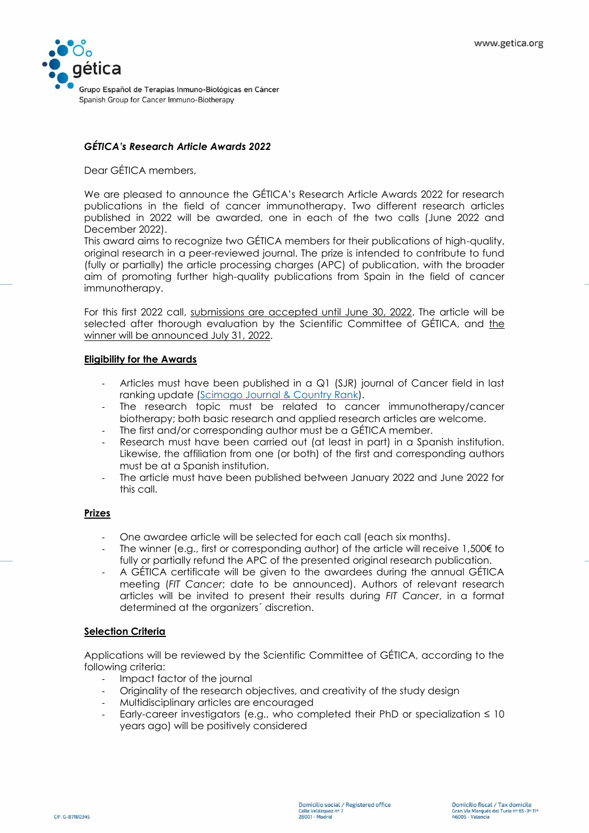

# *GÉTICA's Research Article Awards 2022*

Dear GÉTICA members,

We are pleased to announce the GÉTICA's Research Article Awards 2022 for research publications in the field of cancer immunotherapy. Two different research articles published in 2022 will be awarded, one in each of the two calls (June 2022 and December 2022).

This award aims to recognize two GÉTICA members for their publications of high-quality, original research in a peer-reviewed journal. The prize is intended to contribute to fund (fully or partially) the article processing charges (APC) of publication, with the broader aim of promoting further high-quality publications from Spain in the field of cancer immunotherapy.

For this first 2022 call, submissions are accepted until June 30, 2022. The article will be selected after thorough evaluation by the Scientific Committee of GÉTICA, and the winner will be announced July 31, 2022.

#### **Eligibility for the Awards**

- Articles must have been published in a Q1 (SJR) journal of Cancer field in last ranking update [\(Scimago Journal & Country Rank\)](https://www.scimagojr.com/).
- The research topic must be related to cancer immunotherapy/cancer biotherapy; both basic research and applied research articles are welcome.
- The first and/or corresponding author must be a GÉTICA member.
- Research must have been carried out (at least in part) in a Spanish institution. Likewise, the affiliation from one (or both) of the first and corresponding authors must be at a Spanish institution.
- The article must have been published between January 2022 and June 2022 for this call.

### **Prizes**

- One awardee article will be selected for each call (each six months).
- The winner (e.g., first or corresponding author) of the article will receive  $1,500 \in$  to fully or partially refund the APC of the presented original research publication.
- A GÉTICA certificate will be given to the awardees during the annual GÉTICA meeting (*FIT Cancer*; date to be announced). Authors of relevant research articles will be invited to present their results during *FIT Cancer*, in a format determined at the organizers´ discretion.

### **Selection Criteria**

Applications will be reviewed by the Scientific Committee of GÉTICA, according to the following criteria:

- Impact factor of the journal
- Originality of the research objectives, and creativity of the study design
- Multidisciplinary articles are encouraged
- Early-career investigators (e.g., who completed their PhD or specialization  $\leq 10$ years ago) will be positively considered